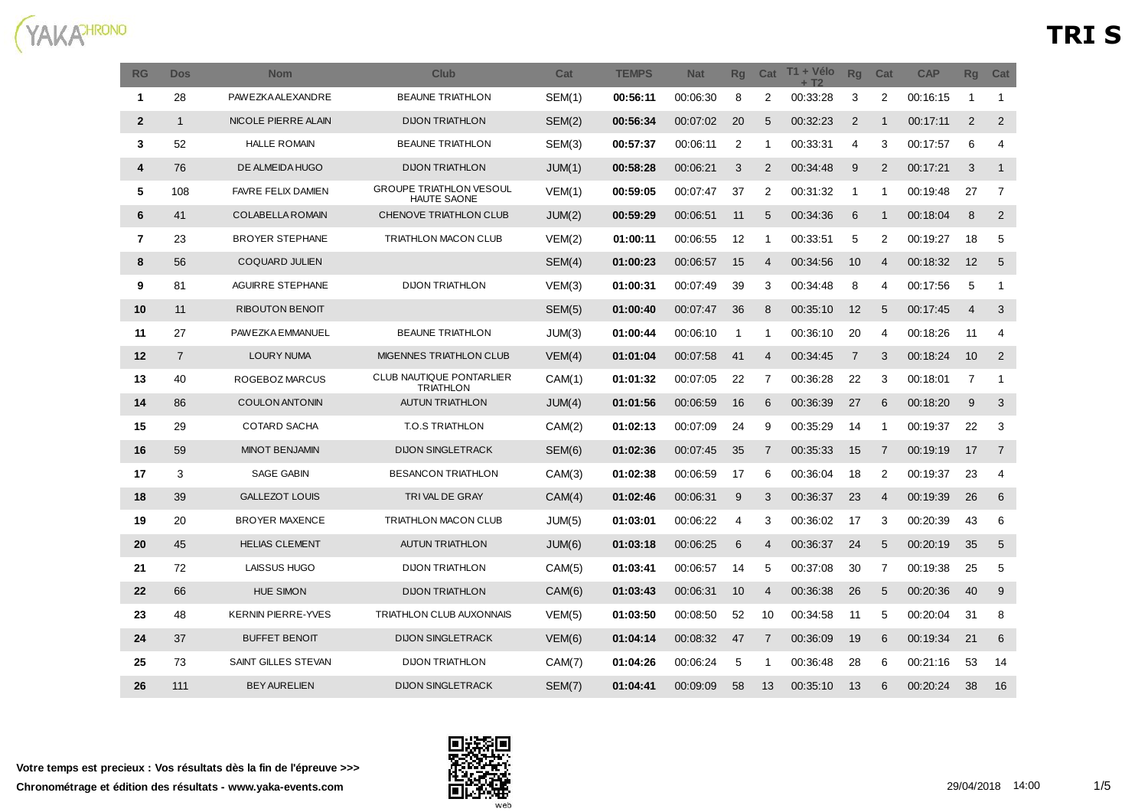

| <b>RG</b>      | <b>Dos</b>     | <b>Nom</b>                | <b>Club</b>                                          | Cat           | <b>TEMPS</b> | <b>Nat</b> | Rq           | Cat            | T1 + Vélo<br><b>+ T2</b> | Rq             | Cat            | <b>CAP</b> | <b>Rg</b>      | Cat            |
|----------------|----------------|---------------------------|------------------------------------------------------|---------------|--------------|------------|--------------|----------------|--------------------------|----------------|----------------|------------|----------------|----------------|
| $\mathbf{1}$   | 28             | PAW EZKA ALEXANDRE        | <b>BEAUNE TRIATHLON</b>                              | <b>SEM(1)</b> | 00:56:11     | 00:06:30   | 8            | 2              | 00:33:28                 | 3              | 2              | 00:16:15   | $\mathbf{1}$   | $\mathbf{1}$   |
| $\overline{2}$ | $\mathbf{1}$   | NICOLE PIERRE ALAIN       | <b>DIJON TRIATHLON</b>                               | SEM(2)        | 00:56:34     | 00:07:02   | 20           | 5              | 00:32:23                 | 2              | $\mathbf{1}$   | 00:17:11   | $\overline{2}$ | 2              |
| 3              | 52             | <b>HALLE ROMAIN</b>       | <b>BEAUNE TRIATHLON</b>                              | SEM(3)        | 00:57:37     | 00:06:11   | 2            | $\mathbf{1}$   | 00:33:31                 | $\overline{4}$ | 3              | 00:17:57   | 6              | 4              |
| 4              | 76             | DE ALMEIDA HUGO           | <b>DIJON TRIATHLON</b>                               | JUM(1)        | 00:58:28     | 00:06:21   | 3            | $\overline{2}$ | 00:34:48                 | 9              | $\overline{2}$ | 00:17:21   | 3              | $\mathbf{1}$   |
| 5              | 108            | <b>FAVRE FELIX DAMIEN</b> | <b>GROUPE TRIATHLON VESOUL</b><br><b>HAUTE SAONE</b> | VEM(1)        | 00:59:05     | 00:07:47   | 37           | 2              | 00:31:32                 | $\mathbf 1$    | -1             | 00:19:48   | 27             | 7              |
| 6              | 41             | <b>COLABELLA ROMAIN</b>   | CHENOVE TRIATHLON CLUB                               | JUM(2)        | 00:59:29     | 00:06:51   | 11           | 5              | 00:34:36                 | 6              | $\mathbf{1}$   | 00:18:04   | 8              | 2              |
| $\overline{7}$ | 23             | <b>BROYER STEPHANE</b>    | <b>TRIATHLON MACON CLUB</b>                          | VEM(2)        | 01:00:11     | 00:06:55   | 12           | 1              | 00:33:51                 | 5              | 2              | 00:19:27   | 18             | 5              |
| 8              | 56             | <b>COQUARD JULIEN</b>     |                                                      | SEM(4)        | 01:00:23     | 00:06:57   | 15           | 4              | 00:34:56                 | 10             | $\overline{4}$ | 00:18:32   | 12             | 5              |
| 9              | 81             | AGUIRRE STEPHANE          | <b>DIJON TRIATHLON</b>                               | VEM(3)        | 01:00:31     | 00:07:49   | 39           | 3              | 00:34:48                 | 8              | 4              | 00:17:56   | 5              | $\mathbf{1}$   |
| 10             | 11             | <b>RIBOUTON BENOIT</b>    |                                                      | SEM(5)        | 01:00:40     | 00:07:47   | 36           | 8              | 00:35:10                 | 12             | 5              | 00:17:45   | $\overline{4}$ | 3              |
| 11             | 27             | PAWEZKA EMMANUEL          | <b>BEAUNE TRIATHLON</b>                              | JUM(3)        | 01:00:44     | 00:06:10   | $\mathbf{1}$ | $\mathbf{1}$   | 00:36:10                 | 20             | 4              | 00:18:26   | 11             | 4              |
| 12             | $\overline{7}$ | LOURY NUMA                | MIGENNES TRIATHLON CLUB                              | VEM(4)        | 01:01:04     | 00:07:58   | 41           | $\overline{4}$ | 00:34:45                 | $\overline{7}$ | 3              | 00:18:24   | 10             | $\overline{2}$ |
| 13             | 40             | ROGEBOZ MARCUS            | CLUB NAUTIQUE PONTARLIER<br><b>TRIATHLON</b>         | CAM(1)        | 01:01:32     | 00:07:05   | 22           | 7              | 00:36:28                 | 22             | 3              | 00:18:01   | $\overline{7}$ | $\mathbf{1}$   |
| 14             | 86             | <b>COULON ANTONIN</b>     | <b>AUTUN TRIATHLON</b>                               | JUM(4)        | 01:01:56     | 00:06:59   | 16           | 6              | 00:36:39                 | 27             | 6              | 00:18:20   | 9              | 3              |
| 15             | 29             | <b>COTARD SACHA</b>       | <b>T.O.S TRIATHLON</b>                               | CAM(2)        | 01:02:13     | 00:07:09   | 24           | 9              | 00:35:29                 | 14             | -1             | 00:19:37   | 22             | 3              |
| 16             | 59             | <b>MINOT BENJAMIN</b>     | <b>DIJON SINGLETRACK</b>                             | SEM(6)        | 01:02:36     | 00:07:45   | 35           | $\overline{7}$ | 00:35:33                 | 15             | $\overline{7}$ | 00:19:19   | 17             | $\overline{7}$ |
| 17             | 3              | <b>SAGE GABIN</b>         | <b>BESANCON TRIATHLON</b>                            | CAM(3)        | 01:02:38     | 00:06:59   | 17           | 6              | 00:36:04                 | 18             | 2              | 00:19:37   | 23             | $\overline{4}$ |
| 18             | 39             | <b>GALLEZOT LOUIS</b>     | TRIVAL DE GRAY                                       | CAM(4)        | 01:02:46     | 00:06:31   | 9            | 3              | 00:36:37                 | 23             | $\overline{4}$ | 00:19:39   | 26             | 6              |
| 19             | 20             | <b>BROYER MAXENCE</b>     | TRIATHLON MACON CLUB                                 | JUM(5)        | 01:03:01     | 00:06:22   | 4            | 3              | 00:36:02                 | 17             | 3              | 00:20:39   | 43             | 6              |
| 20             | 45             | <b>HELIAS CLEMENT</b>     | <b>AUTUN TRIATHLON</b>                               | JUM(6)        | 01:03:18     | 00:06:25   | 6            | $\overline{4}$ | 00:36:37                 | 24             | 5              | 00:20:19   | 35             | 5              |
| 21             | 72             | LAISSUS HUGO              | <b>DIJON TRIATHLON</b>                               | CAM(5)        | 01:03:41     | 00:06:57   | 14           | 5              | 00:37:08                 | 30             | 7              | 00:19:38   | 25             | 5              |
| 22             | 66             | <b>HUE SIMON</b>          | <b>DIJON TRIATHLON</b>                               | CAM(6)        | 01:03:43     | 00:06:31   | 10           | $\overline{4}$ | 00:36:38                 | 26             | 5              | 00:20:36   | 40             | 9              |
| 23             | 48             | <b>KERNIN PIERRE-YVES</b> | TRIATHLON CLUB AUXONNAIS                             | VEM(5)        | 01:03:50     | 00:08:50   | 52           | 10             | 00:34:58                 | 11             | 5              | 00:20:04   | 31             | 8              |
| 24             | 37             | <b>BUFFET BENOIT</b>      | <b>DIJON SINGLETRACK</b>                             | VEM(6)        | 01:04:14     | 00:08:32   | 47           | 7              | 00:36:09                 | 19             | 6              | 00:19:34   | 21             | 6              |
| 25             | 73             | SAINT GILLES STEVAN       | <b>DIJON TRIATHLON</b>                               | CAM(7)        | 01:04:26     | 00:06:24   | 5            | 1              | 00:36:48                 | 28             | 6              | 00:21:16   | 53             | 14             |
| 26             | 111            | <b>BEY AURELIEN</b>       | <b>DIJON SINGLETRACK</b>                             | SEM(7)        | 01:04:41     | 00:09:09   | 58           | 13             | 00:35:10                 | 13             | 6              | 00:20:24   | 38             | 16             |

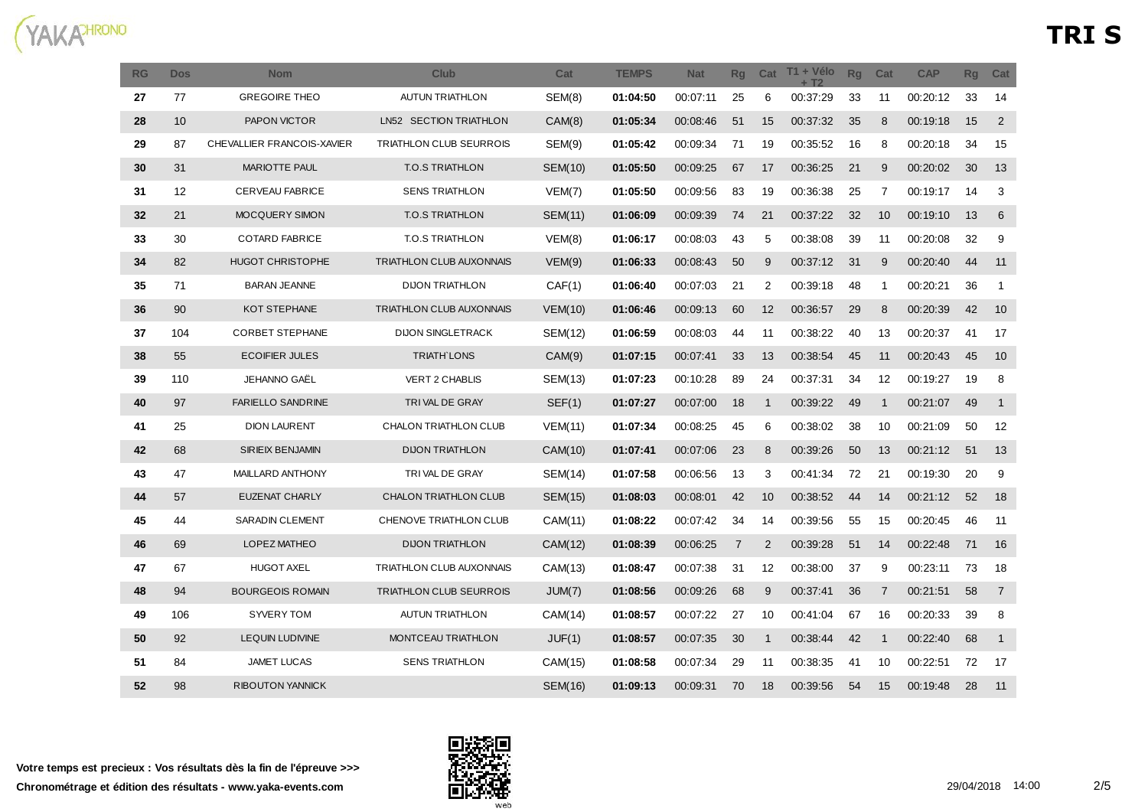

| <b>RG</b> | <b>Dos</b> | <b>Nom</b>                 | <b>Club</b>                     | Cat            | <b>TEMPS</b> | <b>Nat</b> | Rg             | Cat               | T1 + Vélo<br>$+T2$ | Rq | Cat            | <b>CAP</b> | <b>Rg</b> | Cat            |
|-----------|------------|----------------------------|---------------------------------|----------------|--------------|------------|----------------|-------------------|--------------------|----|----------------|------------|-----------|----------------|
| 27        | 77         | <b>GREGOIRE THEO</b>       | <b>AUTUN TRIATHLON</b>          | SEM(8)         | 01:04:50     | 00:07:11   | 25             | 6                 | 00:37:29           | 33 | 11             | 00:20:12   | 33        | 14             |
| 28        | 10         | PAPON VICTOR               | LN52 SECTION TRIATHLON          | CAM(8)         | 01:05:34     | 00:08:46   | 51             | 15                | 00:37:32           | 35 | 8              | 00:19:18   | 15        | $\overline{2}$ |
| 29        | 87         | CHEVALLIER FRANCOIS-XAVIER | TRIATHLON CLUB SEURROIS         | SEM(9)         | 01:05:42     | 00:09:34   | 71             | 19                | 00:35:52           | 16 | 8              | 00:20:18   | 34        | 15             |
| 30        | 31         | <b>MARIOTTE PAUL</b>       | <b>T.O.S TRIATHLON</b>          | <b>SEM(10)</b> | 01:05:50     | 00:09:25   | 67             | 17                | 00:36:25           | 21 | 9              | 00:20:02   | 30        | 13             |
| 31        | 12         | CERVEAU FABRICE            | <b>SENS TRIATHLON</b>           | VEM(7)         | 01:05:50     | 00:09:56   | 83             | 19                | 00:36:38           | 25 | 7              | 00:19:17   | 14        | 3              |
| 32        | 21         | MOCQUERY SIMON             | <b>T.O.S TRIATHLON</b>          | <b>SEM(11)</b> | 01:06:09     | 00:09:39   | 74             | 21                | 00:37:22           | 32 | 10             | 00:19:10   | 13        | 6              |
| 33        | 30         | <b>COTARD FABRICE</b>      | <b>T.O.S TRIATHLON</b>          | VEM(8)         | 01:06:17     | 00:08:03   | 43             | 5                 | 00:38:08           | 39 | 11             | 00:20:08   | 32        | 9              |
| 34        | 82         | <b>HUGOT CHRISTOPHE</b>    | <b>TRIATHLON CLUB AUXONNAIS</b> | VEM(9)         | 01:06:33     | 00:08:43   | 50             | 9                 | 00:37:12           | 31 | 9              | 00:20:40   | 44        | 11             |
| 35        | 71         | <b>BARAN JEANNE</b>        | <b>DIJON TRIATHLON</b>          | CAF(1)         | 01:06:40     | 00:07:03   | 21             | 2                 | 00:39:18           | 48 | $\mathbf{1}$   | 00:20:21   | 36        | 1              |
| 36        | 90         | <b>KOT STEPHANE</b>        | <b>TRIATHLON CLUB AUXONNAIS</b> | VEM(10)        | 01:06:46     | 00:09:13   | 60             | $12 \overline{ }$ | 00:36:57           | 29 | 8              | 00:20:39   | 42        | 10             |
| 37        | 104        | <b>CORBET STEPHANE</b>     | <b>DIJON SINGLETRACK</b>        | SEM(12)        | 01:06:59     | 00:08:03   | 44             | 11                | 00:38:22           | 40 | 13             | 00:20:37   | 41        | 17             |
| 38        | 55         | <b>ECOIFIER JULES</b>      | <b>TRIATH LONS</b>              | CAM(9)         | 01:07:15     | 00:07:41   | 33             | 13                | 00:38:54           | 45 | 11             | 00:20:43   | 45        | 10             |
| 39        | 110        | JEHANNO GAËL               | VERT 2 CHABLIS                  | SEM(13)        | 01:07:23     | 00:10:28   | 89             | 24                | 00:37:31           | 34 | 12             | 00:19:27   | 19        | 8              |
| 40        | 97         | <b>FARIELLO SANDRINE</b>   | TRIVAL DE GRAY                  | SEF(1)         | 01:07:27     | 00:07:00   | 18             | $\mathbf{1}$      | 00:39:22           | 49 | $\mathbf{1}$   | 00:21:07   | 49        | $\mathbf{1}$   |
| 41        | 25         | <b>DION LAURENT</b>        | CHALON TRIATHLON CLUB           | VEM(11)        | 01:07:34     | 00:08:25   | 45             | 6                 | 00:38:02           | 38 | 10             | 00:21:09   | 50        | 12             |
| 42        | 68         | SIRIEIX BENJAMIN           | <b>DIJON TRIATHLON</b>          | CAM(10)        | 01:07:41     | 00:07:06   | 23             | 8                 | 00:39:26           | 50 | 13             | 00:21:12   | 51        | 13             |
| 43        | 47         | MAILLARD ANTHONY           | TRIVAL DE GRAY                  | SEM(14)        | 01:07:58     | 00:06:56   | 13             | 3                 | 00:41:34           | 72 | 21             | 00:19:30   | 20        | 9              |
| 44        | 57         | <b>EUZENAT CHARLY</b>      | CHALON TRIATHLON CLUB           | SEM(15)        | 01:08:03     | 00:08:01   | 42             | 10                | 00:38:52           | 44 | 14             | 00:21:12   | 52        | 18             |
| 45        | 44         | SARADIN CLEMENT            | CHENOVE TRIATHLON CLUB          | CAM(11)        | 01:08:22     | 00:07:42   | 34             | 14                | 00:39:56           | 55 | 15             | 00:20:45   | 46        | 11             |
| 46        | 69         | LOPEZ MATHEO               | <b>DIJON TRIATHLON</b>          | CAM(12)        | 01:08:39     | 00:06:25   | $\overline{7}$ | $\overline{2}$    | 00:39:28           | 51 | 14             | 00:22:48   | 71        | 16             |
| 47        | 67         | <b>HUGOT AXEL</b>          | TRIATHLON CLUB AUXONNAIS        | CAM(13)        | 01:08:47     | 00:07:38   | 31             | 12                | 00:38:00           | 37 | 9              | 00:23:11   | 73        | 18             |
| 48        | 94         | <b>BOURGEOIS ROMAIN</b>    | <b>TRIATHLON CLUB SEURROIS</b>  | JUM(7)         | 01:08:56     | 00:09:26   | 68             | 9                 | 00:37:41           | 36 | $\overline{7}$ | 00:21:51   | 58        | $\overline{7}$ |
| 49        | 106        | <b>SYVERY TOM</b>          | <b>AUTUN TRIATHLON</b>          | CAM(14)        | 01:08:57     | 00:07:22   | 27             | 10                | 00:41:04           | 67 | 16             | 00:20:33   | 39        | 8              |
| 50        | 92         | LEQUIN LUDIVINE            | MONTCEAU TRIATHLON              | JUF(1)         | 01:08:57     | 00:07:35   | 30             | $\mathbf{1}$      | 00:38:44           | 42 | $\mathbf{1}$   | 00:22:40   | 68        | $\mathbf{1}$   |
| 51        | 84         | JAMET LUCAS                | <b>SENS TRIATHLON</b>           | CAM(15)        | 01:08:58     | 00:07:34   | 29             | 11                | 00:38:35           | 41 | 10             | 00:22:51   | 72        | 17             |
| 52        | 98         | RIBOUTON YANNICK           |                                 | SEM(16)        | 01:09:13     | 00:09:31   | 70             | 18                | 00:39:56           | 54 | 15             | 00:19:48   | 28        | 11             |

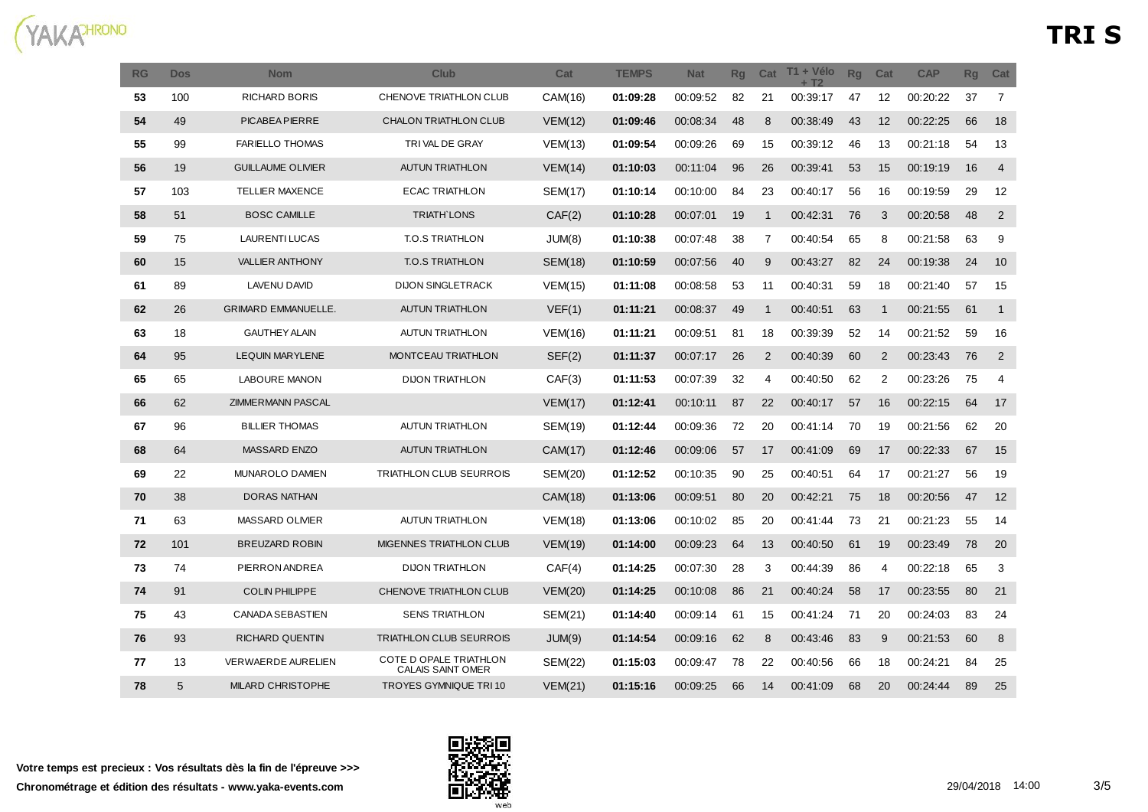

| <b>RG</b> | <b>Dos</b> | <b>Nom</b>                 | Club                                        | Cat            | <b>TEMPS</b> | <b>Nat</b> | <b>Rq</b> | Cat            | T1 + Vélo<br>$+T2$ | <b>Rg</b> | Cat          | <b>CAP</b> | <b>Rg</b> | Cat            |
|-----------|------------|----------------------------|---------------------------------------------|----------------|--------------|------------|-----------|----------------|--------------------|-----------|--------------|------------|-----------|----------------|
| 53        | 100        | <b>RICHARD BORIS</b>       | CHENOVE TRIATHLON CLUB                      | CAM(16)        | 01:09:28     | 00:09:52   | 82        | 21             | 00:39:17           | 47        | 12           | 00:20:22   | 37        | 7              |
| 54        | 49         | PICABEA PIERRE             | CHALON TRIATHLON CLUB                       | VEM(12)        | 01:09:46     | 00:08:34   | 48        | 8              | 00:38:49           | 43        | 12           | 00:22:25   | 66        | 18             |
| 55        | 99         | <b>FARIELLO THOMAS</b>     | TRIVAL DE GRAY                              | VEM(13)        | 01:09:54     | 00:09:26   | 69        | 15             | 00:39:12           | 46        | 13           | 00:21:18   | 54        | 13             |
| 56        | 19         | <b>GUILLAUME OLIVIER</b>   | <b>AUTUN TRIATHLON</b>                      | VEM(14)        | 01:10:03     | 00:11:04   | 96        | 26             | 00:39:41           | 53        | 15           | 00:19:19   | 16        | $\overline{4}$ |
| 57        | 103        | <b>TELLIER MAXENCE</b>     | <b>ECAC TRIATHLON</b>                       | <b>SEM(17)</b> | 01:10:14     | 00:10:00   | 84        | 23             | 00:40:17           | 56        | 16           | 00:19:59   | 29        | 12             |
| 58        | 51         | <b>BOSC CAMILLE</b>        | <b>TRIATH LONS</b>                          | CAF(2)         | 01:10:28     | 00:07:01   | 19        | $\mathbf{1}$   | 00:42:31           | 76        | 3            | 00:20:58   | 48        | $\overline{2}$ |
| 59        | 75         | <b>LAURENTI LUCAS</b>      | <b>T.O.S TRIATHLON</b>                      | JUM(8)         | 01:10:38     | 00:07:48   | 38        | $\overline{7}$ | 00:40:54           | 65        | 8            | 00:21:58   | 63        | 9              |
| 60        | 15         | <b>VALLIER ANTHONY</b>     | <b>T.O.S TRIATHLON</b>                      | <b>SEM(18)</b> | 01:10:59     | 00:07:56   | 40        | 9              | 00:43:27           | 82        | 24           | 00:19:38   | 24        | 10             |
| 61        | 89         | <b>LAVENU DAVID</b>        | <b>DIJON SINGLETRACK</b>                    | VEM(15)        | 01:11:08     | 00:08:58   | 53        | 11             | 00:40:31           | 59        | 18           | 00:21:40   | 57        | 15             |
| 62        | 26         | <b>GRIMARD EMMANUELLE.</b> | <b>AUTUN TRIATHLON</b>                      | VEF(1)         | 01:11:21     | 00:08:37   | 49        | $\mathbf{1}$   | 00:40:51           | 63        | $\mathbf{1}$ | 00:21:55   | 61        | $\mathbf{1}$   |
| 63        | 18         | <b>GAUTHEY ALAIN</b>       | <b>AUTUN TRIATHLON</b>                      | <b>VEM(16)</b> | 01:11:21     | 00:09:51   | 81        | 18             | 00:39:39           | 52        | 14           | 00:21:52   | 59        | 16             |
| 64        | 95         | <b>LEQUIN MARYLENE</b>     | MONTCEAU TRIATHLON                          | SEF(2)         | 01:11:37     | 00:07:17   | 26        | 2              | 00:40:39           | 60        | 2            | 00:23:43   | 76        | 2              |
| 65        | 65         | <b>LABOURE MANON</b>       | <b>DIJON TRIATHLON</b>                      | CAF(3)         | 01:11:53     | 00:07:39   | 32        | 4              | 00:40:50           | 62        | 2            | 00:23:26   | 75        | $\overline{4}$ |
| 66        | 62         | <b>ZIMMERMANN PASCAL</b>   |                                             | VEM(17)        | 01:12:41     | 00:10:11   | 87        | 22             | 00:40:17           | 57        | 16           | 00:22:15   | 64        | 17             |
| 67        | 96         | <b>BILLIER THOMAS</b>      | <b>AUTUN TRIATHLON</b>                      | SEM(19)        | 01:12:44     | 00:09:36   | 72        | 20             | 00:41:14           | 70        | 19           | 00:21:56   | 62        | 20             |
| 68        | 64         | MASSARD ENZO               | <b>AUTUN TRIATHLON</b>                      | CAM(17)        | 01:12:46     | 00:09:06   | 57        | 17             | 00:41:09           | 69        | 17           | 00:22:33   | 67        | 15             |
| 69        | 22         | MUNAROLO DAMIEN            | TRIATHLON CLUB SEURROIS                     | SEM(20)        | 01:12:52     | 00:10:35   | 90        | 25             | 00:40:51           | 64        | 17           | 00:21:27   | 56        | 19             |
| 70        | 38         | <b>DORAS NATHAN</b>        |                                             | CAM(18)        | 01:13:06     | 00:09:51   | 80        | 20             | 00:42:21           | 75        | 18           | 00:20:56   | 47        | 12             |
| 71        | 63         | <b>MASSARD OLIVIER</b>     | <b>AUTUN TRIATHLON</b>                      | VEM(18)        | 01:13:06     | 00:10:02   | 85        | 20             | 00:41:44           | 73        | 21           | 00:21:23   | 55        | 14             |
| 72        | 101        | <b>BREUZARD ROBIN</b>      | MIGENNES TRIATHLON CLUB                     | VEM(19)        | 01:14:00     | 00:09:23   | 64        | 13             | 00:40:50           | 61        | 19           | 00:23:49   | 78        | 20             |
| 73        | 74         | PIERRON ANDREA             | <b>DIJON TRIATHLON</b>                      | CAF(4)         | 01:14:25     | 00:07:30   | 28        | 3              | 00:44:39           | 86        | 4            | 00:22:18   | 65        | 3              |
| 74        | 91         | <b>COLIN PHILIPPE</b>      | <b>CHENOVE TRIATHLON CLUB</b>               | <b>VEM(20)</b> | 01:14:25     | 00:10:08   | 86        | 21             | 00:40:24           | 58        | 17           | 00:23:55   | 80        | 21             |
| 75        | 43         | CANADA SEBASTIEN           | <b>SENS TRIATHLON</b>                       | SEM(21)        | 01:14:40     | 00:09:14   | 61        | 15             | 00:41:24           | 71        | 20           | 00:24:03   | 83        | 24             |
| 76        | 93         | <b>RICHARD QUENTIN</b>     | TRIATHLON CLUB SEURROIS                     | JUM(9)         | 01:14:54     | 00:09:16   | 62        | 8              | 00:43:46           | 83        | 9            | 00:21:53   | 60        | 8              |
| 77        | 13         | <b>VERWAERDE AURELIEN</b>  | COTE D OPALE TRIATHLON<br>CALAIS SAINT OMER | SEM(22)        | 01:15:03     | 00:09:47   | 78        | 22             | 00:40:56           | 66        | 18           | 00:24:21   | 84        | 25             |
| 78        | 5          | <b>MILARD CHRISTOPHE</b>   | <b>TROYES GYMNIQUE TRI 10</b>               | VEM(21)        | 01:15:16     | 00:09:25   | 66        | 14             | 00:41:09           | 68        | 20           | 00:24:44   | 89        | 25             |

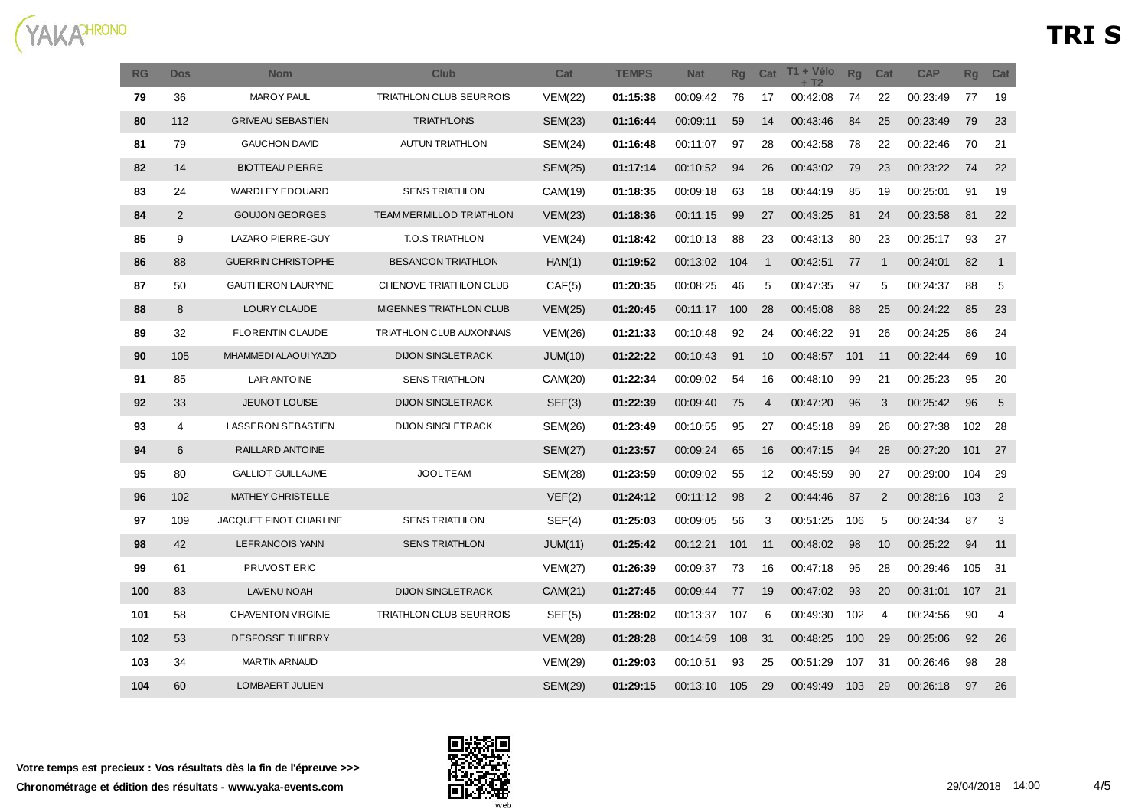

| <b>RG</b> | <b>Dos</b> | <b>Nom</b>                | Club                      | Cat            | <b>TEMPS</b> | <b>Nat</b> | <b>Rg</b> | Cat               | T1 + Vélo<br>$+T2$ | <b>Rq</b> | Cat            | <b>CAP</b> | <b>Rg</b> | Cat            |
|-----------|------------|---------------------------|---------------------------|----------------|--------------|------------|-----------|-------------------|--------------------|-----------|----------------|------------|-----------|----------------|
| 79        | 36         | MAROY PAUL                | TRIATHLON CLUB SEURROIS   | <b>VEM(22)</b> | 01:15:38     | 00:09:42   | 76        | 17                | 00:42:08           | 74        | 22             | 00:23:49   | 77        | 19             |
| 80        | 112        | <b>GRIVEAU SEBASTIEN</b>  | <b>TRIATH'LONS</b>        | <b>SEM(23)</b> | 01:16:44     | 00:09:11   | 59        | 14                | 00:43:46           | 84        | 25             | 00:23:49   | 79        | 23             |
| 81        | 79         | <b>GAUCHON DAVID</b>      | <b>AUTUN TRIATHLON</b>    | SEM(24)        | 01:16:48     | 00:11:07   | 97        | 28                | 00:42:58           | 78        | 22             | 00:22:46   | 70        | 21             |
| 82        | 14         | <b>BIOTTEAU PIERRE</b>    |                           | SEM(25)        | 01:17:14     | 00:10:52   | 94        | 26                | 00:43:02           | 79        | 23             | 00:23:22   | 74        | 22             |
| 83        | 24         | <b>WARDLEY EDOUARD</b>    | <b>SENS TRIATHLON</b>     | CAM(19)        | 01:18:35     | 00:09:18   | 63        | 18                | 00:44:19           | 85        | 19             | 00:25:01   | 91        | 19             |
| 84        | 2          | <b>GOUJON GEORGES</b>     | TEAM MERMILLOD TRIATHLON  | VEM(23)        | 01:18:36     | 00:11:15   | 99        | 27                | 00:43:25           | 81        | 24             | 00:23:58   | 81        | 22             |
| 85        | 9          | LAZARO PIERRE-GUY         | T.O.S TRIATHLON           | VEM(24)        | 01:18:42     | 00:10:13   | 88        | 23                | 00:43:13           | 80        | 23             | 00:25:17   | 93        | 27             |
| 86        | 88         | <b>GUERRIN CHRISTOPHE</b> | <b>BESANCON TRIATHLON</b> | HAN(1)         | 01:19:52     | 00:13:02   | 104       | $\mathbf{1}$      | 00:42:51           | 77        | $\mathbf{1}$   | 00:24:01   | 82        | $\overline{1}$ |
| 87        | 50         | <b>GAUTHERON LAURYNE</b>  | CHENOVE TRIATHLON CLUB    | CAF(5)         | 01:20:35     | 00:08:25   | 46        | 5                 | 00:47:35           | 97        | 5              | 00:24:37   | 88        | 5              |
| 88        | 8          | LOURY CLAUDE              | MIGENNES TRIATHLON CLUB   | VEM(25)        | 01:20:45     | 00:11:17   | 100       | 28                | 00:45:08           | 88        | 25             | 00:24:22   | 85        | 23             |
| 89        | 32         | <b>FLORENTIN CLAUDE</b>   | TRIATHLON CLUB AUXONNAIS  | <b>VEM(26)</b> | 01:21:33     | 00:10:48   | 92        | 24                | 00:46:22           | 91        | 26             | 00:24:25   | 86        | 24             |
| 90        | 105        | MHAMMEDI ALAOUI YAZID     | <b>DIJON SINGLETRACK</b>  | JUM(10)        | 01:22:22     | 00:10:43   | 91        | 10                | 00:48:57           | 101       | 11             | 00:22:44   | 69        | 10             |
| 91        | 85         | LAIR ANTOINE              | <b>SENS TRIATHLON</b>     | CAM(20)        | 01:22:34     | 00:09:02   | 54        | 16                | 00:48:10           | 99        | 21             | 00:25:23   | 95        | 20             |
| 92        | 33         | JEUNOT LOUISE             | DIJON SINGLETRACK         | SEF(3)         | 01:22:39     | 00:09:40   | 75        | 4                 | 00:47:20           | 96        | 3              | 00:25:42   | 96        | 5              |
| 93        | 4          | <b>LASSERON SEBASTIEN</b> | <b>DIJON SINGLETRACK</b>  | SEM(26)        | 01:23:49     | 00:10:55   | 95        | 27                | 00:45:18           | 89        | 26             | 00:27:38   | 102       | 28             |
| 94        | 6          | RAILLARD ANTOINE          |                           | <b>SEM(27)</b> | 01:23:57     | 00:09:24   | 65        | 16                | 00:47:15           | 94        | 28             | 00:27:20   | 101       | 27             |
| 95        | 80         | <b>GALLIOT GUILLAUME</b>  | JOOL TEAM                 | SEM(28)        | 01:23:59     | 00:09:02   | 55        | $12 \overline{ }$ | 00:45:59           | 90        | 27             | 00:29:00   | 104       | 29             |
| 96        | 102        | MATHEY CHRISTELLE         |                           | VEF(2)         | 01:24:12     | 00:11:12   | 98        | $\overline{2}$    | 00:44:46           | 87        | $\overline{2}$ | 00:28:16   | 103       | $\overline{2}$ |
| 97        | 109        | JACQUET FINOT CHARLINE    | <b>SENS TRIATHLON</b>     | SEF(4)         | 01:25:03     | 00:09:05   | 56        | 3                 | 00:51:25           | 106       | 5              | 00:24:34   | 87        | 3              |
| 98        | 42         | LEFRANCOIS YANN           | <b>SENS TRIATHLON</b>     | JUM(11)        | 01:25:42     | 00:12:21   | 101       | 11                | 00:48:02           | 98        | 10             | 00:25:22   | 94        | 11             |
| 99        | 61         | <b>PRUVOST ERIC</b>       |                           | <b>VEM(27)</b> | 01:26:39     | 00:09:37   | 73        | 16                | 00:47:18           | 95        | 28             | 00:29:46   | 105       | 31             |
| 100       | 83         | <b>LAVENU NOAH</b>        | <b>DIJON SINGLETRACK</b>  | CAM(21)        | 01:27:45     | 00:09:44   | 77        | 19                | 00:47:02           | 93        | 20             | 00:31:01   | 107       | 21             |
| 101       | 58         | <b>CHAVENTON VIRGINIE</b> | TRIATHLON CLUB SEURROIS   | SEF(5)         | 01:28:02     | 00:13:37   | 107       | 6                 | 00:49:30           | 102       | 4              | 00:24:56   | 90        | 4              |
| 102       | 53         | <b>DESFOSSE THIERRY</b>   |                           | VEM(28)        | 01:28:28     | 00:14:59   | 108       | 31                | 00:48:25           | 100       | 29             | 00:25:06   | 92        | 26             |
| 103       | 34         | <b>MARTIN ARNAUD</b>      |                           | <b>VEM(29)</b> | 01:29:03     | 00:10:51   | 93        | 25                | 00:51:29           | 107       | 31             | 00:26:46   | 98        | 28             |
| 104       | 60         | LOMBAERT JULIEN           |                           | <b>SEM(29)</b> | 01:29:15     | 00:13:10   | 105       | 29                | 00:49:49           | 103       | 29             | 00:26:18   | 97        | 26             |